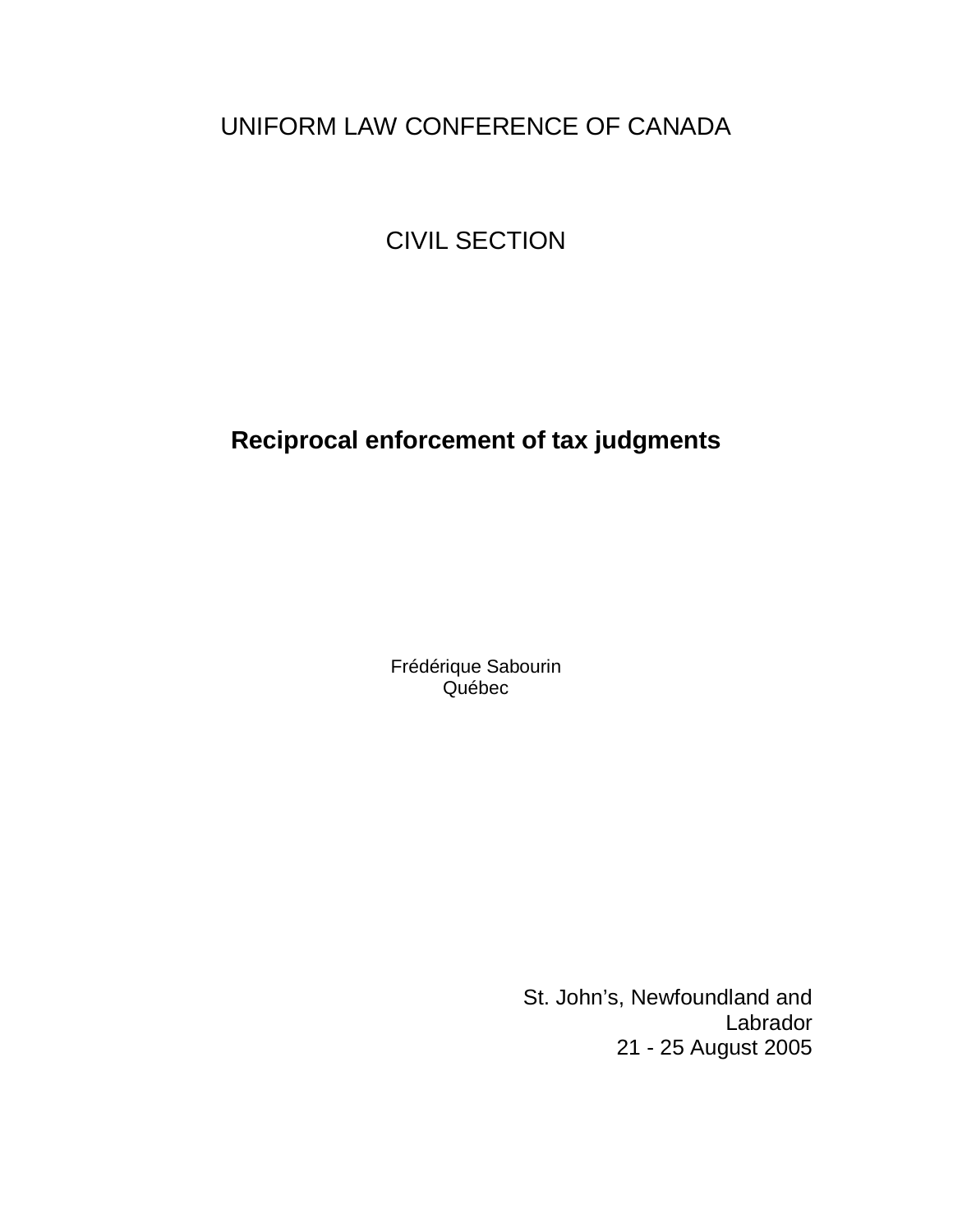# UNIFORM LAW CONFERENCE OF CANADA

# CIVIL SECTION

# **Reciprocal enforcement of tax judgments**

Frédérique Sabourin Québec

> St. John's, Newfoundland and Labrador 21 - 25 August 2005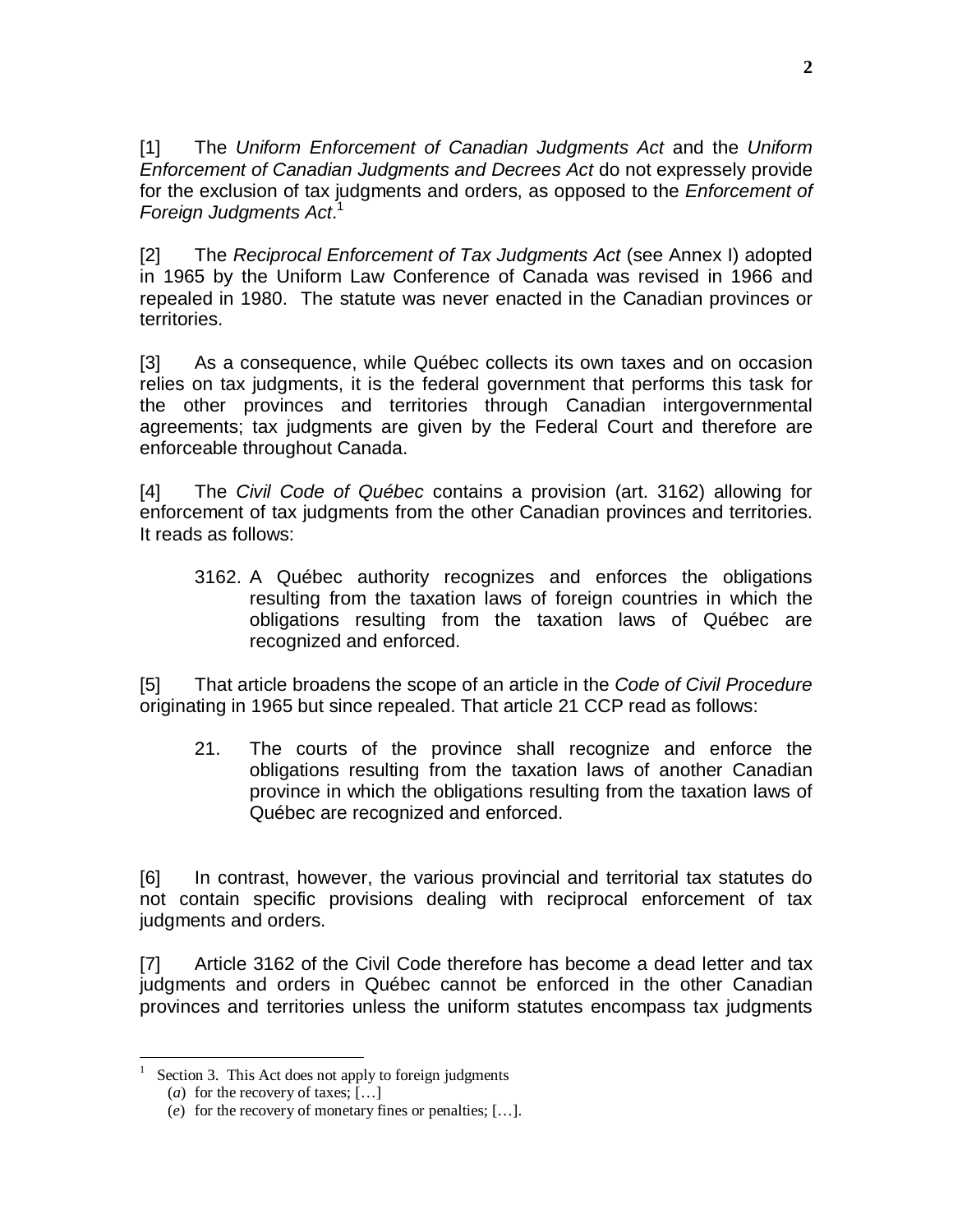[1] The Uniform Enforcement of Canadian Judgments Act and the Uniform Enforcement of Canadian Judgments and Decrees Act do not expressely provide for the exclusion of tax judgments and orders, as opposed to the *Enforcement of* Foreign Judgments Act.<sup>1</sup>

[2] The Reciprocal Enforcement of Tax Judgments Act (see Annex I) adopted in 1965 by the Uniform Law Conference of Canada was revised in 1966 and repealed in 1980. The statute was never enacted in the Canadian provinces or territories.

[3] As a consequence, while Québec collects its own taxes and on occasion relies on tax judgments, it is the federal government that performs this task for the other provinces and territories through Canadian intergovernmental agreements; tax judgments are given by the Federal Court and therefore are enforceable throughout Canada.

[4] The Civil Code of Québec contains a provision (art. 3162) allowing for enforcement of tax judgments from the other Canadian provinces and territories. It reads as follows:

3162. A Québec authority recognizes and enforces the obligations resulting from the taxation laws of foreign countries in which the obligations resulting from the taxation laws of Québec are recognized and enforced.

[5] That article broadens the scope of an article in the Code of Civil Procedure originating in 1965 but since repealed. That article 21 CCP read as follows:

21. The courts of the province shall recognize and enforce the obligations resulting from the taxation laws of another Canadian province in which the obligations resulting from the taxation laws of Québec are recognized and enforced.

[6] In contrast, however, the various provincial and territorial tax statutes do not contain specific provisions dealing with reciprocal enforcement of tax judgments and orders.

[7] Article 3162 of the Civil Code therefore has become a dead letter and tax judgments and orders in Québec cannot be enforced in the other Canadian provinces and territories unless the uniform statutes encompass tax judgments

1

Section 3. This Act does not apply to foreign judgments

<sup>(</sup>*a*) for the recovery of taxes; […]

<sup>(</sup>*e*) for the recovery of monetary fines or penalties; […].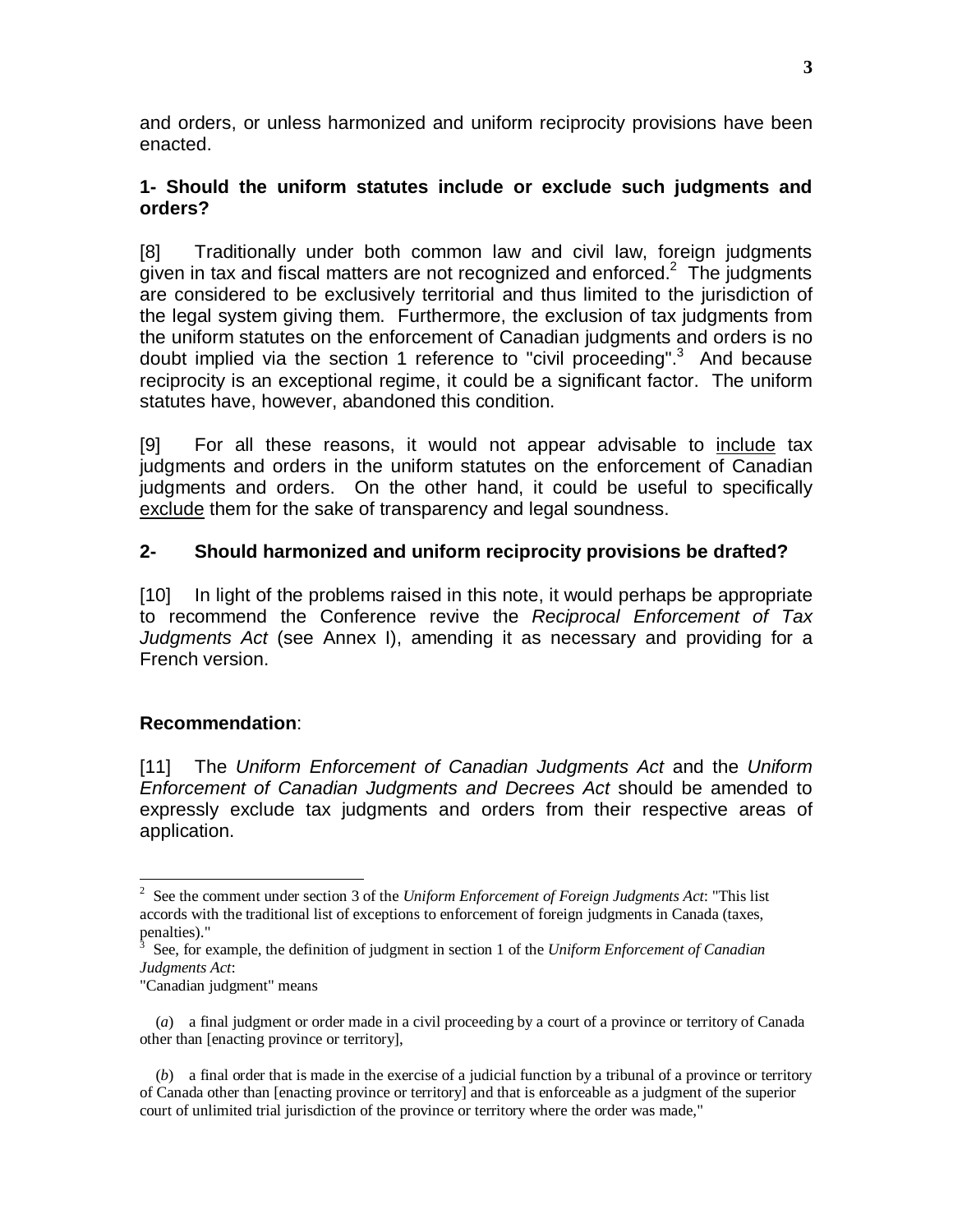and orders, or unless harmonized and uniform reciprocity provisions have been enacted.

### **1- Should the uniform statutes include or exclude such judgments and orders?**

[8] Traditionally under both common law and civil law, foreign judgments given in tax and fiscal matters are not recognized and enforced.<sup>2</sup> The judgments are considered to be exclusively territorial and thus limited to the jurisdiction of the legal system giving them. Furthermore, the exclusion of tax judgments from the uniform statutes on the enforcement of Canadian judgments and orders is no doubt implied via the section 1 reference to "civil proceeding".<sup>3</sup> And because reciprocity is an exceptional regime, it could be a significant factor. The uniform statutes have, however, abandoned this condition.

[9] For all these reasons, it would not appear advisable to include tax judgments and orders in the uniform statutes on the enforcement of Canadian judgments and orders. On the other hand, it could be useful to specifically exclude them for the sake of transparency and legal soundness.

## **2- Should harmonized and uniform reciprocity provisions be drafted?**

[10] In light of the problems raised in this note, it would perhaps be appropriate to recommend the Conference revive the Reciprocal Enforcement of Tax Judgments Act (see Annex I), amending it as necessary and providing for a French version.

### **Recommendation**:

[11] The Uniform Enforcement of Canadian Judgments Act and the Uniform Enforcement of Canadian Judgments and Decrees Act should be amended to expressly exclude tax judgments and orders from their respective areas of application.

<sup>2</sup> See the comment under section 3 of the *Uniform Enforcement of Foreign Judgments Act*: "This list accords with the traditional list of exceptions to enforcement of foreign judgments in Canada (taxes, penalties)."

<sup>3</sup> See, for example, the definition of judgment in section 1 of the *Uniform Enforcement of Canadian Judgments Act*:

<sup>&</sup>quot;Canadian judgment" means

<sup>(</sup>*a*) a final judgment or order made in a civil proceeding by a court of a province or territory of Canada other than [enacting province or territory],

<sup>(</sup>*b*) a final order that is made in the exercise of a judicial function by a tribunal of a province or territory of Canada other than [enacting province or territory] and that is enforceable as a judgment of the superior court of unlimited trial jurisdiction of the province or territory where the order was made,"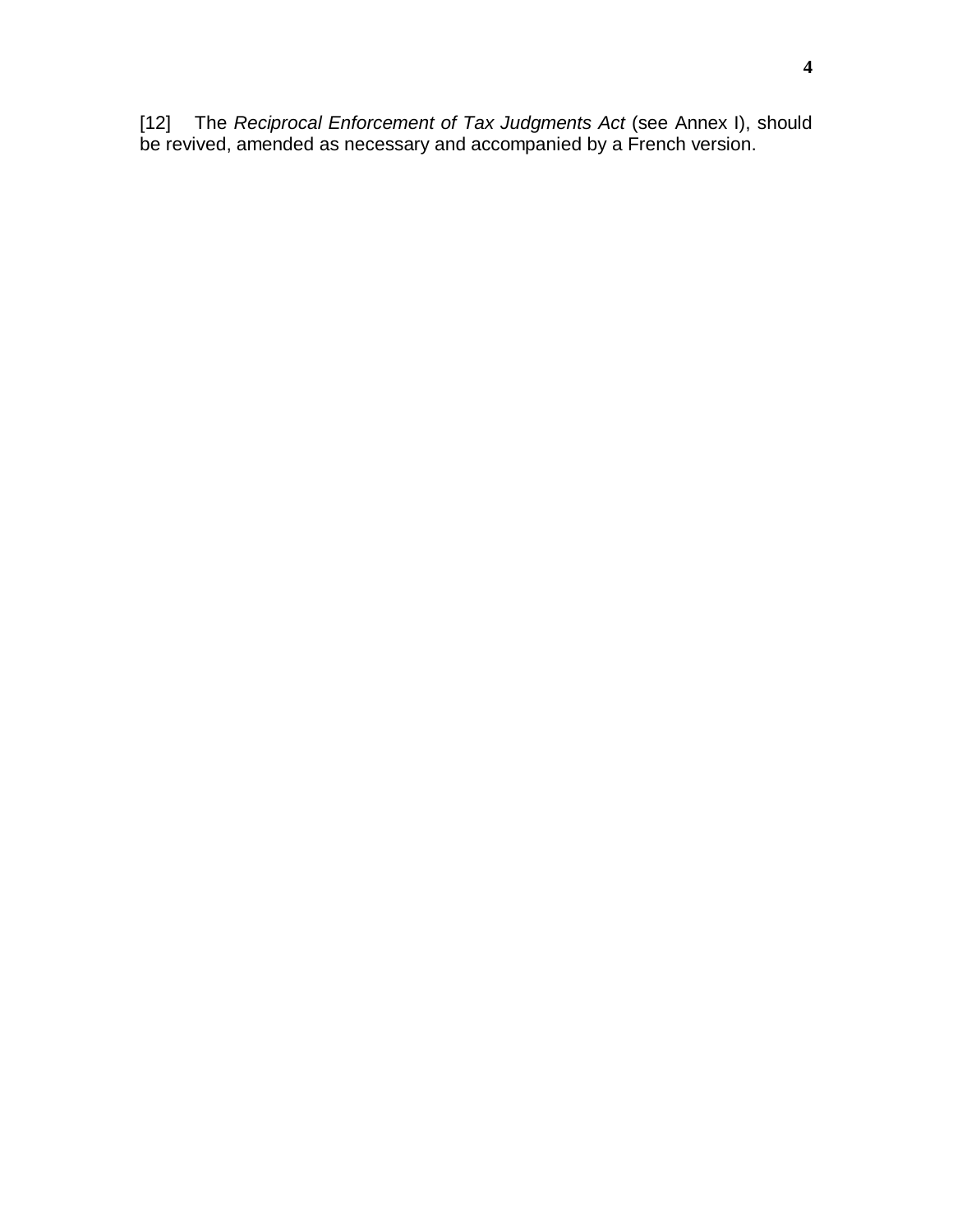[12] The Reciprocal Enforcement of Tax Judgments Act (see Annex I), should be revived, amended as necessary and accompanied by a French version.